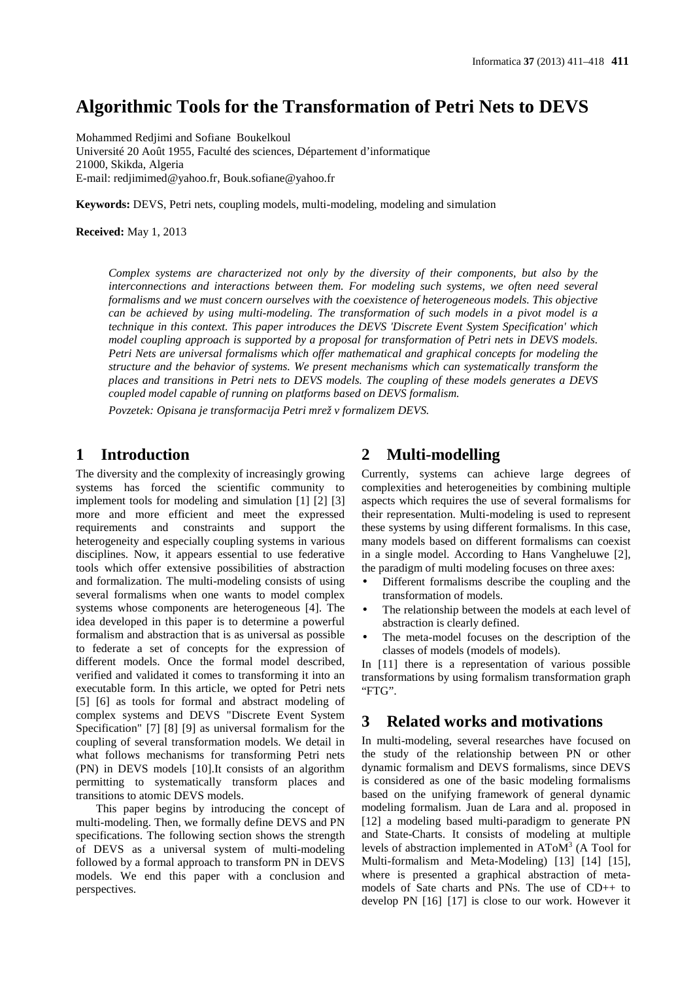# **Algorithmic Tools for the Transformation of Petri Nets to DEVS**

Mohammed Redjimi and Sofiane Boukelkoul Université 20 Août 1955, Faculté des sciences, Département d'informatique 21000, Skikda, Algeria E-mail: redjimimed@yahoo.fr, Bouk.sofiane@yahoo.fr

**Keywords:** DEVS, Petri nets, coupling models, multi-modeling, modeling and simulation

**Received:** May 1, 2013

*Complex systems are characterized not only by the diversity of their components, but also by the interconnections and interactions between them. For modeling such systems, we often need several formalisms and we must concern ourselves with the coexistence of heterogeneous models. This objective can be achieved by using multi-modeling. The transformation of such models in a pivot model is a technique in this context. This paper introduces the DEVS 'Discrete Event System Specification' which model coupling approach is supported by a proposal for transformation of Petri nets in DEVS models. Petri Nets are universal formalisms which offer mathematical and graphical concepts for modeling the structure and the behavior of systems. We present mechanisms which can systematically transform the places and transitions in Petri nets to DEVS models. The coupling of these models generates a DEVS coupled model capable of running on platforms based on DEVS formalism.* 

*Povzetek: Opisana je transformacija Petri mrež v formalizem DEVS.* 

# **1 Introduction**

The diversity and the complexity of increasingly growing systems has forced the scientific community to implement tools for modeling and simulation [1] [2] [3] more and more efficient and meet the expressed<br>requirements and constraints and support the requirements and constraints and heterogeneity and especially coupling systems in various disciplines. Now, it appears essential to use federative tools which offer extensive possibilities of abstraction and formalization. The multi-modeling consists of using several formalisms when one wants to model complex systems whose components are heterogeneous [4]. The idea developed in this paper is to determine a powerful formalism and abstraction that is as universal as possible to federate a set of concepts for the expression of different models. Once the formal model described, verified and validated it comes to transforming it into an executable form. In this article, we opted for Petri nets [5] [6] as tools for formal and abstract modeling of complex systems and DEVS "Discrete Event System Specification" [7] [8] [9] as universal formalism for the coupling of several transformation models. We detail in what follows mechanisms for transforming Petri nets (PN) in DEVS models [10].It consists of an algorithm permitting to systematically transform places and transitions to atomic DEVS models.

This paper begins by introducing the concept of multi-modeling. Then, we formally define DEVS and PN specifications. The following section shows the strength of DEVS as a universal system of multi-modeling followed by a formal approach to transform PN in DEVS models. We end this paper with a conclusion and perspectives.

# **2 Multi-modelling**

Currently, systems can achieve large degrees of complexities and heterogeneities by combining multiple aspects which requires the use of several formalisms for their representation. Multi-modeling is used to represent these systems by using different formalisms. In this case, many models based on different formalisms can coexist in a single model. According to Hans Vangheluwe [2], the paradigm of multi modeling focuses on three axes:

- Different formalisms describe the coupling and the transformation of models.
- The relationship between the models at each level of abstraction is clearly defined.
- The meta-model focuses on the description of the classes of models (models of models).

In [11] there is a representation of various possible transformations by using formalism transformation graph "FTG".

# **3 Related works and motivations**

In multi-modeling, several researches have focused on the study of the relationship between PN or other dynamic formalism and DEVS formalisms, since DEVS is considered as one of the basic modeling formalisms based on the unifying framework of general dynamic modeling formalism. Juan de Lara and al. proposed in [12] a modeling based multi-paradigm to generate PN and State-Charts. It consists of modeling at multiple levels of abstraction implemented in  $A\text{ToM}^3$  (A Tool for Multi-formalism and Meta-Modeling) [13] [14] [15], where is presented a graphical abstraction of metamodels of Sate charts and PNs. The use of CD++ to develop PN [16] [17] is close to our work. However it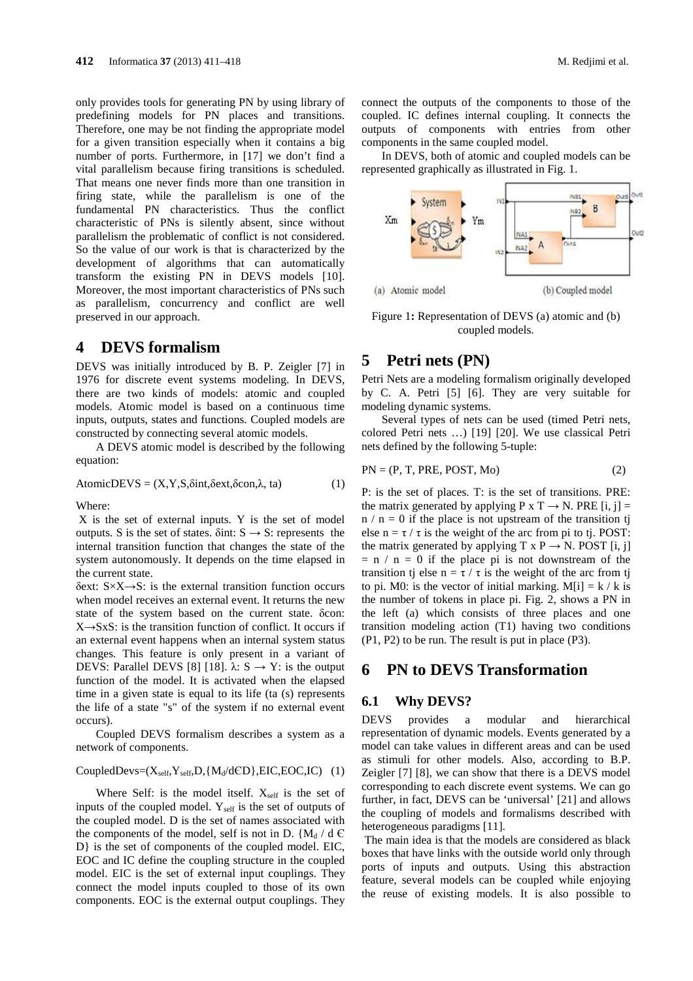only provides tools for generating PN by using library of predefining models for PN places and transitions. Therefore, one may be not finding the appropriate model for a given transition especially when it contains a big number of ports. Furthermore, in [17] we don't find a vital parallelism because firing transitions is scheduled. That means one never finds more than one transition in firing state, while the parallelism is one of the fundamental PN characteristics. Thus the conflict characteristic of PNs is silently absent, since without parallelism the problematic of conflict is not considered. So the value of our work is that is characterized by the development of algorithms that can automatically transform the existing PN in DEVS models [10]. Moreover, the most important characteristics of PNs such as parallelism, concurrency and conflict are well preserved in our approach.

# **4 DEVS formalism**

DEVS was initially introduced by B. P. Zeigler [7] in 1976 for discrete event systems modeling. In DEVS, there are two kinds of models: atomic and coupled models. Atomic model is based on a continuous time inputs, outputs, states and functions. Coupled models are constructed by connecting several atomic models.

A DEVS atomic model is described by the following equation:

$$
AtomicDEVS = (X, Y, S, \delta int, \delta ext, \delta con, \lambda, ta)
$$
 (1)

Where:

 X is the set of external inputs. Y is the set of model outputs. S is the set of states.  $\delta$ int: S  $\rightarrow$  S: represents the internal transition function that changes the state of the system autonomously. It depends on the time elapsed in the current state.

δext: S×X→S: is the external transition function occurs when model receives an external event. It returns the new state of the system based on the current state. δcon:  $X \rightarrow S X S$ : is the transition function of conflict. It occurs if an external event happens when an internal system status changes. This feature is only present in a variant of DEVS: Parallel DEVS [8] [18].  $\lambda$ : S  $\rightarrow$  Y: is the output function of the model. It is activated when the elapsed time in a given state is equal to its life (ta (s) represents the life of a state "s" of the system if no external event occurs).

Coupled DEVS formalism describes a system as a network of components.

## CoupledDevs= $(X_{self}, Y_{self}, D, {M_d/dCD}, EIC, EOC, IC)$  (1)

Where Self: is the model itself.  $X_{\text{self}}$  is the set of inputs of the coupled model. Yself is the set of outputs of the coupled model. D is the set of names associated with the components of the model, self is not in D.  ${M_d/d \in \mathbb{C}}$ D} is the set of components of the coupled model. EIC, EOC and IC define the coupling structure in the coupled model. EIC is the set of external input couplings. They connect the model inputs coupled to those of its own components. EOC is the external output couplings. They connect the outputs of the components to those of the coupled. IC defines internal coupling. It connects the outputs of components with entries from other components in the same coupled model.

In DEVS, both of atomic and coupled models can be represented graphically as illustrated in Fig. 1.



Figure 1**:** Representation of DEVS (a) atomic and (b) coupled models.

# **5 Petri nets (PN)**

Petri Nets are a modeling formalism originally developed by C. A. Petri [5] [6]. They are very suitable for modeling dynamic systems.

Several types of nets can be used (timed Petri nets, colored Petri nets …) [19] [20]. We use classical Petri nets defined by the following 5-tuple:

$$
PN = (P, T, PRE, POST, Mo)
$$
 (2)

P: is the set of places. T: is the set of transitions. PRE: the matrix generated by applying P x T  $\rightarrow$  N. PRE [i, j] =  $n / n = 0$  if the place is not upstream of the transition tj else  $n = \tau / \tau$  is the weight of the arc from pi to tj. POST: the matrix generated by applying  $T \times P \rightarrow N$ . POST [i, j]  $= n / n = 0$  if the place pi is not downstream of the transition tj else  $n = \tau / \tau$  is the weight of the arc from tj to pi. M0: is the vector of initial marking. M[i] =  $k / k$  is the number of tokens in place pi. Fig. 2, shows a PN in the left (a) which consists of three places and one transition modeling action (T1) having two conditions (P1, P2) to be run. The result is put in place (P3).

## **6 PN to DEVS Transformation**

## **6.1 Why DEVS?**

DEVS provides a modular and hierarchical representation of dynamic models. Events generated by a model can take values in different areas and can be used as stimuli for other models. Also, according to B.P. Zeigler [7] [8], we can show that there is a DEVS model corresponding to each discrete event systems. We can go further, in fact, DEVS can be 'universal' [21] and allows the coupling of models and formalisms described with heterogeneous paradigms [11].

 The main idea is that the models are considered as black boxes that have links with the outside world only through ports of inputs and outputs. Using this abstraction feature, several models can be coupled while enjoying the reuse of existing models. It is also possible to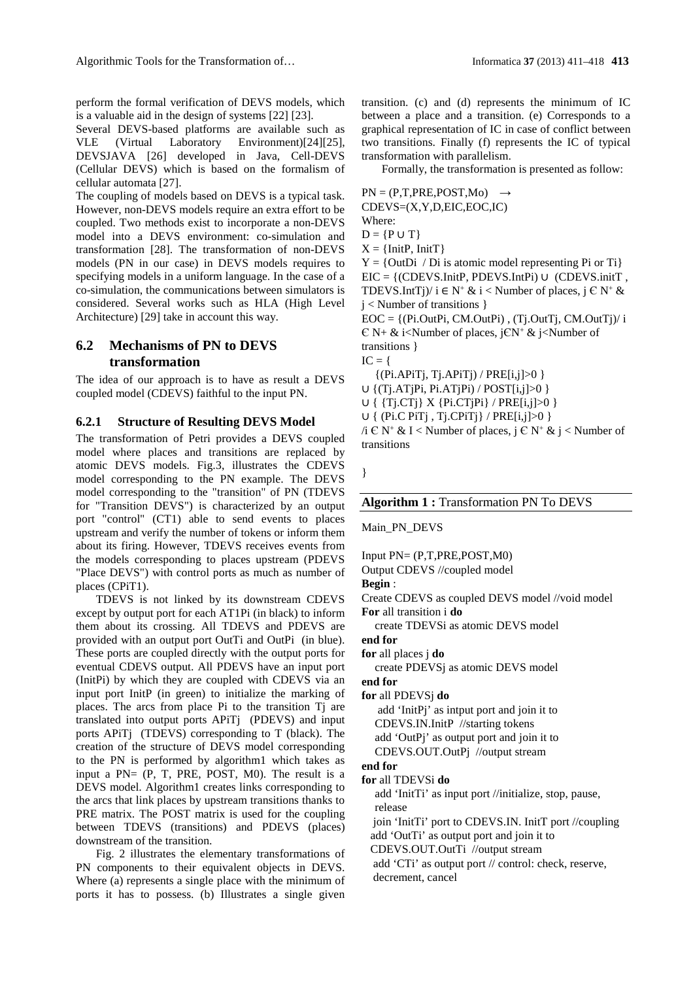perform the formal verification of DEVS models, which is a valuable aid in the design of systems [22] [23].

Several DEVS-based platforms are available such as VLE (Virtual Laboratory Environment)[24][25], DEVSJAVA [26] developed in Java, Cell-DEVS (Cellular DEVS) which is based on the formalism of cellular automata [27].

The coupling of models based on DEVS is a typical task. However, non-DEVS models require an extra effort to be coupled. Two methods exist to incorporate a non-DEVS model into a DEVS environment: co-simulation and transformation [28]. The transformation of non-DEVS models (PN in our case) in DEVS models requires to specifying models in a uniform language. In the case of a co-simulation, the communications between simulators is considered. Several works such as HLA (High Level Architecture) [29] take in account this way.

## **6.2 Mechanisms of PN to DEVS transformation**

The idea of our approach is to have as result a DEVS coupled model (CDEVS) faithful to the input PN.

#### **6.2.1 Structure of Resulting DEVS Model**

The transformation of Petri provides a DEVS coupled model where places and transitions are replaced by atomic DEVS models. Fig.3, illustrates the CDEVS model corresponding to the PN example. The DEVS model corresponding to the "transition" of PN (TDEVS for "Transition DEVS") is characterized by an output port "control" (CT1) able to send events to places upstream and verify the number of tokens or inform them about its firing. However, TDEVS receives events from the models corresponding to places upstream (PDEVS "Place DEVS") with control ports as much as number of places (CPiT1).

TDEVS is not linked by its downstream CDEVS except by output port for each AT1Pi (in black) to inform them about its crossing. All TDEVS and PDEVS are provided with an output port OutTi and OutPi (in blue). These ports are coupled directly with the output ports for eventual CDEVS output. All PDEVS have an input port (InitPi) by which they are coupled with CDEVS via an input port InitP (in green) to initialize the marking of places. The arcs from place Pi to the transition Tj are translated into output ports APiTj (PDEVS) and input ports APiTj (TDEVS) corresponding to T (black). The creation of the structure of DEVS model corresponding to the PN is performed by algorithm1 which takes as input a PN= (P, T, PRE, POST, M0). The result is a DEVS model. Algorithm1 creates links corresponding to the arcs that link places by upstream transitions thanks to PRE matrix. The POST matrix is used for the coupling between TDEVS (transitions) and PDEVS (places) downstream of the transition.

Fig. 2 illustrates the elementary transformations of PN components to their equivalent objects in DEVS. Where (a) represents a single place with the minimum of ports it has to possess. (b) Illustrates a single given transition. (c) and (d) represents the minimum of IC between a place and a transition. (e) Corresponds to a graphical representation of IC in case of conflict between two transitions. Finally (f) represents the IC of typical transformation with parallelism.

Formally, the transformation is presented as follow:

 $PN = (P, T, PRE, POST, Mo) \rightarrow$ CDEVS=(X,Y,D,EIC,EOC,IC) Where:  $D = {P \cup T}$  $X = \{InitP,InitT\}$  $Y = \{OutDi / Di$  is atomic model representing Pi or Ti $\}$  $EIC = \{ (CDEVS \cdot InitP, PDEVS \cdot InitP \} ) \cup (CDEVS \cdot initT )$ TDEVS.IntTj)/  $i \in N^+ \& i <$  Number of places,  $j \in N^+ \&$ j < Number of transitions }  $EOC = \{(Pi.OutPi, CM.OutPi), (Tj.OutTj, CM.OutTj)/i\}$  $\mathcal{E} N + \&$  i<Number of places, j $\mathcal{E} N^+ \&$  j<Number of transitions }  $IC = \{$  {(Pi.APiTj, Tj.APiTj) / PRE[i,j]>0 } ∪ {(Tj.ATjPi, Pi.ATjPi) / POST[i,j]>0 } ∪ { {Tj.CTj} X {Pi.CTjPi} / PRE[i,j]>0 } ∪ { (Pi.C PiTj , Tj.CPiTj} / PRE[i,j]>0 }

 $\forall i \in \mathbb{N}^* \& \mathbb{I} <$  Number of places,  $j \in \mathbb{N}^* \& \mathbb{I} <$  Number of transitions

}

## **Algorithm 1 :** Transformation PN To DEVS

## Main\_PN\_DEVS

Input PN= (P,T,PRE,POST,M0)

Output CDEVS //coupled model

**Begin** :

Create CDEVS as coupled DEVS model //void model

**For** all transition i **do**

create TDEVSi as atomic DEVS model

# **end for**

**for** all places j **do**  create PDEVSj as atomic DEVS model

#### **end for**

**for** all PDEVSj **do**

 add 'InitPj' as intput port and join it to CDEVS.IN.InitP //starting tokens add 'OutPj' as output port and join it to CDEVS.OUT.OutPj //output stream

### **end for**

#### **for** all TDEVSi **do**

add 'InitTi' as input port //initialize, stop, pause, release

join 'InitTi' port to CDEVS.IN. InitT port //coupling

add 'OutTi' as output port and join it to

CDEVS.OUT.OutTi //output stream

 add 'CTi' as output port // control: check, reserve, decrement, cancel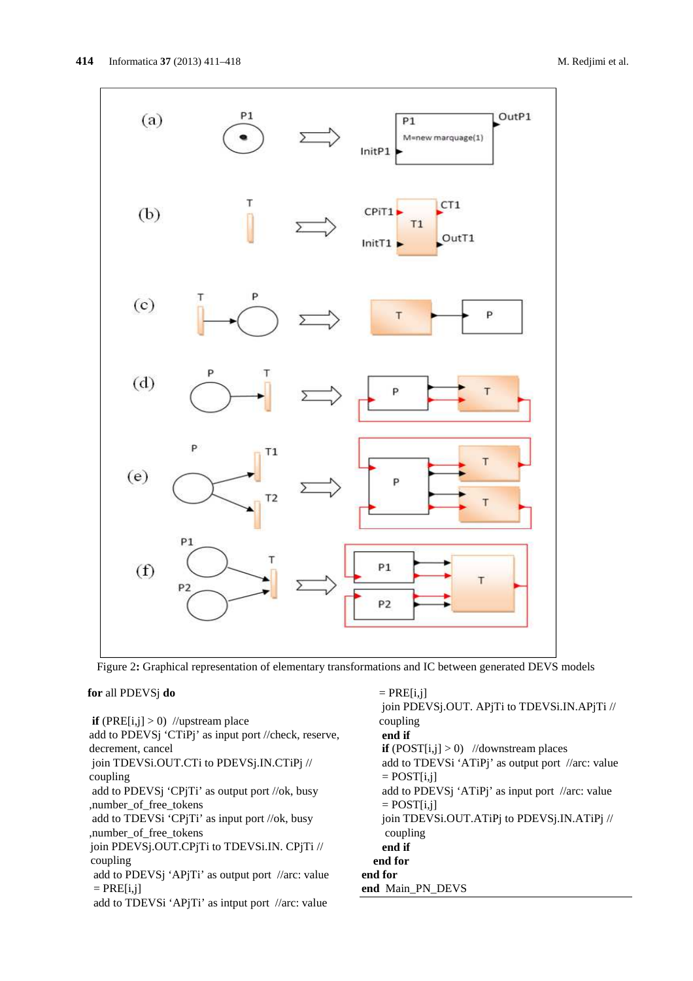

Figure 2**:** Graphical representation of elementary transformations and IC between generated DEVS models

## **for** all PDEVSj **do**

**if**  $(PRE[i,j] > 0)$  //upstream place add to PDEVSj 'CTiPj' as input port //check, reserve, decrement, cancel join TDEVSi.OUT.CTi to PDEVSj.IN.CTiPj // coupling add to PDEVSj 'CPjTi' as output port //ok, busy ,number\_of\_free\_tokens add to TDEVSi 'CPjTi' as input port //ok, busy ,number\_of\_free\_tokens join PDEVSj.OUT.CPjTi to TDEVSi.IN. CPjTi // coupling add to PDEVSj 'APjTi' as output port //arc: value  $=$  PRE[i,j] add to TDEVSi 'APjTi' as intput port //arc: value

 $=$  PRE $[i, j]$  join PDEVSj.OUT. APjTi to TDEVSi.IN.APjTi // coupling  **end if if**  $(POST[i,j] > 0)$  //downstream places add to TDEVSi 'ATiPj' as output port //arc: value  $=$  POST[i,j] add to PDEVSj 'ATiPj' as input port //arc: value  $=$  POST $[i,j]$  join TDEVSi.OUT.ATiPj to PDEVSj.IN.ATiPj // coupling  **end if end for end for end** Main\_PN\_DEVS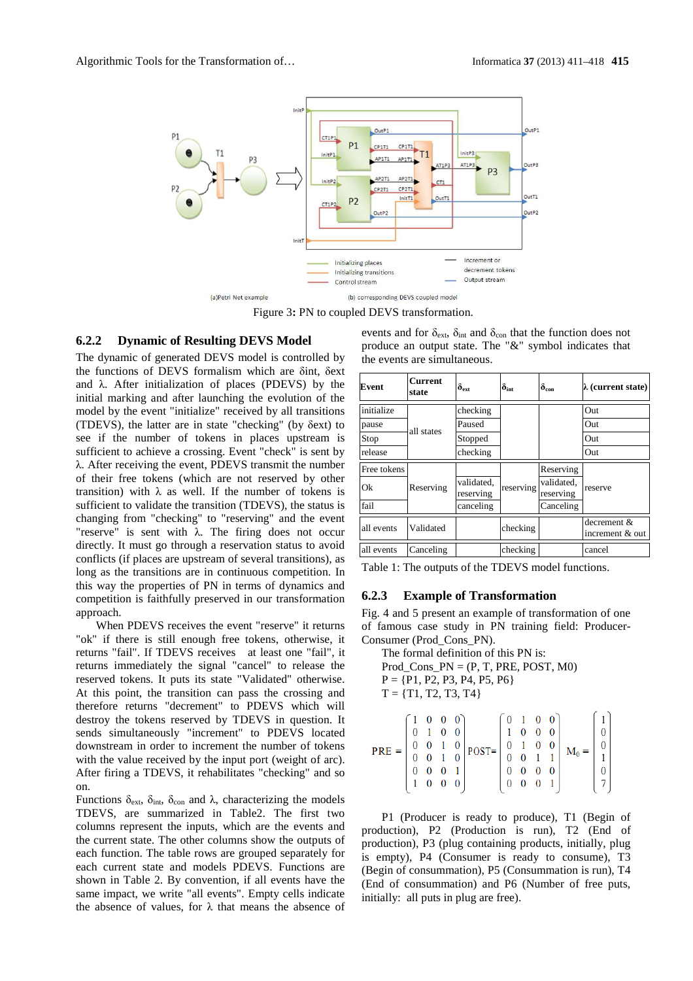

Figure 3**:** PN to coupled DEVS transformation.

## **6.2.2 Dynamic of Resulting DEVS Model**

The dynamic of generated DEVS model is controlled by the functions of DEVS formalism which are δint, δext and  $\lambda$ . After initialization of places (PDEVS) by the initial marking and after launching the evolution of the model by the event "initialize" received by all transitions (TDEVS), the latter are in state "checking" (by δext) to see if the number of tokens in places upstream is sufficient to achieve a crossing. Event "check" is sent by λ. After receiving the event, PDEVS transmit the number of their free tokens (which are not reserved by other transition) with  $\lambda$  as well. If the number of tokens is sufficient to validate the transition (TDEVS), the status is changing from "checking" to "reserving" and the event "reserve" is sent with λ. The firing does not occur directly. It must go through a reservation status to avoid conflicts (if places are upstream of several transitions), as long as the transitions are in continuous competition. In this way the properties of PN in terms of dynamics and competition is faithfully preserved in our transformation approach.

When PDEVS receives the event "reserve" it returns "ok" if there is still enough free tokens, otherwise, it returns "fail". If TDEVS receives at least one "fail", it returns immediately the signal "cancel" to release the reserved tokens. It puts its state "Validated" otherwise. At this point, the transition can pass the crossing and therefore returns "decrement" to PDEVS which will destroy the tokens reserved by TDEVS in question. It sends simultaneously "increment" to PDEVS located downstream in order to increment the number of tokens with the value received by the input port (weight of arc). After firing a TDEVS, it rehabilitates "checking" and so on.

Functions δ<sub>ext</sub>, δ<sub>int</sub>, δ<sub>con</sub> and λ, characterizing the models TDEVS, are summarized in Table2. The first two columns represent the inputs, which are the events and the current state. The other columns show the outputs of each function. The table rows are grouped separately for each current state and models PDEVS. Functions are shown in Table 2. By convention, if all events have the same impact, we write "all events". Empty cells indicate the absence of values, for  $\lambda$  that means the absence of

| <b>Event</b> | <b>Current</b><br>state | $\delta_{\rm ext}$      | $\boldsymbol{\delta}_{\mathrm{int}}$ | $\delta_{\rm con}$      | $\lambda$ (current state)      |
|--------------|-------------------------|-------------------------|--------------------------------------|-------------------------|--------------------------------|
| initialize   | all states              | checking                |                                      |                         | Out                            |
| pause        |                         | Paused                  |                                      |                         | Out                            |
| Stop         |                         | Stopped                 |                                      |                         | Out                            |
| release      |                         | checking                |                                      |                         | Out                            |
| Free tokens  |                         |                         | reserving                            | Reserving               | reserve                        |
| Ok           | Reserving               | validated.<br>reserving |                                      | validated,<br>reserving |                                |
| fail         |                         | canceling               |                                      | Canceling               |                                |
| all events   | Validated               |                         | checking                             |                         | decrement &<br>increment & out |
| all events   | Canceling               |                         | checking                             |                         | cancel                         |

events and for  $\delta_{ext}$ ,  $\delta_{int}$  and  $\delta_{con}$  that the function does not produce an output state. The "&" symbol indicates that the events are simultaneous.

Table 1: The outputs of the TDEVS model functions.

### **6.2.3 Example of Transformation**

Fig. 4 and 5 present an example of transformation of one of famous case study in PN training field: Producer-Consumer (Prod\_Cons\_PN).

```
The formal definition of this PN is: 
Prod Cons PN = (P, T, PRE, POST, M0)P = \{P1, P2, P3, P4, P5, P6\}T = \{T1, T2, T3, T4\}0 \quad 0 \quad 0\overline{0}\mathbf{1}\theta\overline{1}\overline{0}0 \quad 1 \quad 0 \quad 01\quad 0\quad 0\quad 0\overline{0}0<sub>1</sub>\overline{0}0 \t0 \t1 \t00\quad 0POST =PRE =M_0 =0 \quad 0 \quad 10 \t 0 \t 1 \t 1\bf{0}\,10 \t0 \t0 \t10 0 0 0
                                                                       \overline{0}\mathbf{1}0\quad 0\quad 0\theta0 \quad 0 \quad 1
```
P1 (Producer is ready to produce), T1 (Begin of production), P2 (Production is run), T2 (End of production), P3 (plug containing products, initially, plug is empty), P4 (Consumer is ready to consume), T3 (Begin of consummation), P5 (Consummation is run), T4 (End of consummation) and P6 (Number of free puts, initially: all puts in plug are free).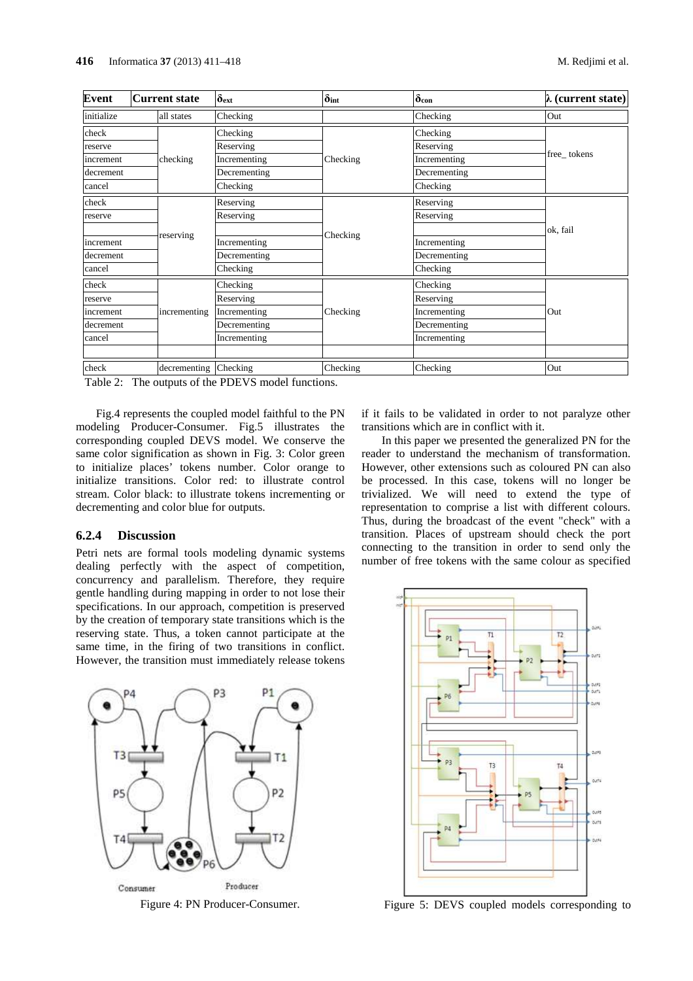| <b>Event</b> | <b>Current state</b> | $\delta_{ext}$ | $\delta$ int | $\delta$ con | $\lambda$ (current state) |
|--------------|----------------------|----------------|--------------|--------------|---------------------------|
| initialize   | all states           | Checking       |              | Checking     | Out                       |
| check        |                      | Checking       |              | Checking     |                           |
| reserve      |                      | Reserving      |              | Reserving    |                           |
| increment    | checking             | Incrementing   | Checking     | Incrementing | free_tokens               |
| decrement    |                      | Decrementing   |              | Decrementing |                           |
| cancel       |                      | Checking       |              | Checking     |                           |
| check        |                      | Reserving      |              | Reserving    |                           |
| reserve      |                      | Reserving      |              | Reserving    |                           |
|              | reserving            |                | Checking     |              | ok, fail                  |
| increment    |                      | Incrementing   |              | Incrementing |                           |
| decrement    |                      | Decrementing   |              | Decrementing |                           |
| cancel       |                      | Checking       |              | Checking     |                           |
| check        |                      | Checking       |              | Checking     |                           |
| reserve      |                      | Reserving      |              | Reserving    |                           |
| increment    | incrementing         | Incrementing   | Checking     | Incrementing | Out                       |
| decrement    |                      | Decrementing   |              | Decrementing |                           |
| cancel       |                      | Incrementing   |              | Incrementing |                           |
|              |                      |                |              |              |                           |
| check        | decrementing         | Checking       | Checking     | Checking     | Out                       |

Table 2: The outputs of the PDEVS model functions.

Fig.4 represents the coupled model faithful to the PN modeling Producer-Consumer. Fig.5 illustrates the corresponding coupled DEVS model. We conserve the same color signification as shown in Fig. 3: Color green to initialize places' tokens number. Color orange to initialize transitions. Color red: to illustrate control stream. Color black: to illustrate tokens incrementing or decrementing and color blue for outputs.

## **6.2.4 Discussion**

Petri nets are formal tools modeling dynamic systems dealing perfectly with the aspect of competition, concurrency and parallelism. Therefore, they require gentle handling during mapping in order to not lose their specifications. In our approach, competition is preserved by the creation of temporary state transitions which is the reserving state. Thus, a token cannot participate at the same time, in the firing of two transitions in conflict. However, the transition must immediately release tokens



if it fails to be validated in order to not paralyze other transitions which are in conflict with it.

In this paper we presented the generalized PN for the reader to understand the mechanism of transformation. However, other extensions such as coloured PN can also be processed. In this case, tokens will no longer be trivialized. We will need to extend the type of representation to comprise a list with different colours. Thus, during the broadcast of the event "check" with a transition. Places of upstream should check the port connecting to the transition in order to send only the number of free tokens with the same colour as specified



Figure 4: PN Producer-Consumer. Figure 5: DEVS coupled models corresponding to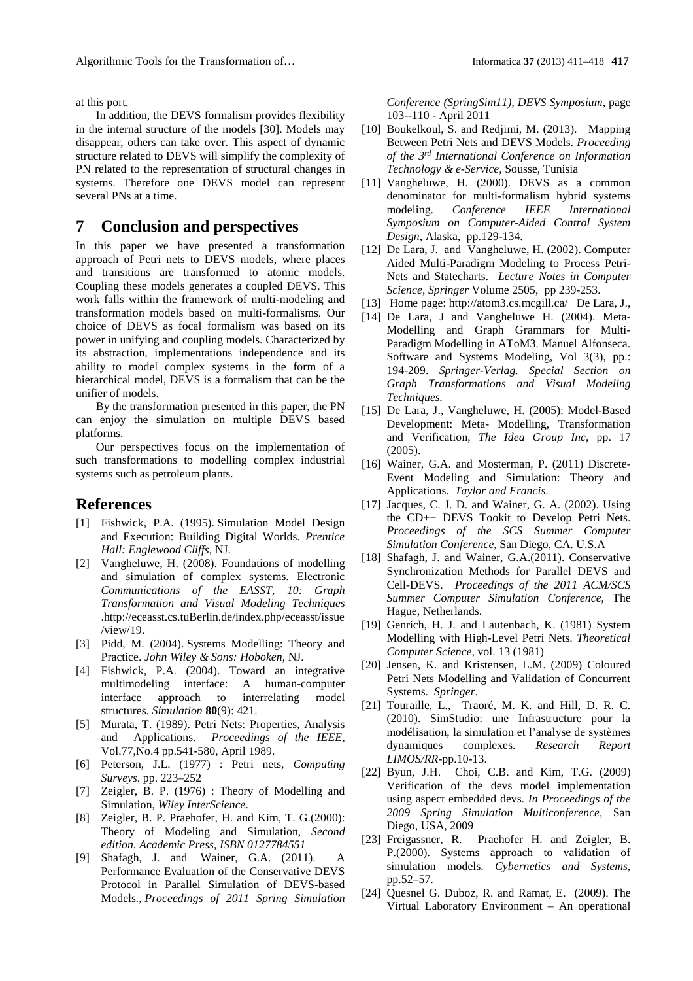at this port.

In addition, the DEVS formalism provides flexibility in the internal structure of the models [30]. Models may disappear, others can take over. This aspect of dynamic structure related to DEVS will simplify the complexity of PN related to the representation of structural changes in systems. Therefore one DEVS model can represent several PNs at a time.

# **7 Conclusion and perspectives**

In this paper we have presented a transformation approach of Petri nets to DEVS models, where places and transitions are transformed to atomic models. Coupling these models generates a coupled DEVS. This work falls within the framework of multi-modeling and transformation models based on multi-formalisms. Our choice of DEVS as focal formalism was based on its power in unifying and coupling models. Characterized by its abstraction, implementations independence and its ability to model complex systems in the form of a hierarchical model, DEVS is a formalism that can be the unifier of models.

By the transformation presented in this paper, the PN can enjoy the simulation on multiple DEVS based platforms.

Our perspectives focus on the implementation of such transformations to modelling complex industrial systems such as petroleum plants.

## **References**

- [1] Fishwick, P.A. (1995). Simulation Model Design and Execution: Building Digital Worlds. *Prentice Hall: Englewood Cliffs*, NJ.
- [2] Vangheluwe, H. (2008). Foundations of modelling and simulation of complex systems. Electronic *Communications of the EASST, 10: Graph Transformation and Visual Modeling Techniques*  .http://eceasst.cs.tuBerlin.de/index.php/eceasst/issue /view/19.
- [3] Pidd, M. (2004). Systems Modelling: Theory and Practice. *John Wiley & Sons: Hoboken*, NJ.
- [4] Fishwick, P.A. (2004). Toward an integrative multimodeling interface: A human-computer interface approach to interrelating model structures. *Simulation* **80**(9): 421.
- [5] Murata, T. (1989). Petri Nets: Properties, Analysis and Applications. *Proceedings of the IEEE*, Vol.77,No.4 pp.541-580, April 1989.
- [6] Peterson, J.L. (1977) : Petri nets, *Computing Surveys*. pp. 223–252
- [7] Zeigler, B. P. (1976) : Theory of Modelling and Simulation, *Wiley InterScience*.
- [8] Zeigler, B. P. Praehofer, H. and Kim, T. G.(2000): Theory of Modeling and Simulation, *Second edition. Academic Press, ISBN 0127784551*
- [9] Shafagh, J. and Wainer, G.A. (2011). A Performance Evaluation of the Conservative DEVS Protocol in Parallel Simulation of DEVS-based Models*., Proceedings of 2011 Spring Simulation*

*Conference (SpringSim11), DEVS Symposium*, page 103--110 - April 2011

- [10] Boukelkoul, S. and Redjimi, M. (2013). Mapping Between Petri Nets and DEVS Models. *Proceeding of the 3rd International Conference on Information Technology & e-Service,* Sousse, Tunisia
- [11] Vangheluwe, H. (2000). DEVS as a common denominator for multi-formalism hybrid systems modeling. *Conference IEEE International Symposium on Computer-Aided Control System Design*, Alaska, pp.129-134.
- [12] De Lara, J. and Vangheluwe, H. (2002). Computer Aided Multi-Paradigm Modeling to Process Petri-Nets and Statecharts. *Lecture Notes in Computer Science*, *Springer* Volume 2505, pp 239-253.
- [13] Home page: http://atom3.cs.mcgill.ca/ De Lara, J.,
- [14] De Lara, J and Vangheluwe H. (2004). Meta-Modelling and Graph Grammars for Multi-Paradigm Modelling in AToM3. Manuel Alfonseca. Software and Systems Modeling, Vol 3(3), pp.: 194-209. *Springer-Verlag. Special Section on Graph Transformations and Visual Modeling Techniques.*
- [15] De Lara, J., Vangheluwe, H. (2005): Model-Based Development: Meta- Modelling, Transformation and Verification, *The Idea Group Inc*, pp. 17 (2005).
- [16] Wainer, G.A. and Mosterman, P. (2011) Discrete-Event Modeling and Simulation: Theory and Applications. *Taylor and Francis*.
- [17] Jacques, C. J. D. and Wainer, G. A. (2002). Using the CD++ DEVS Tookit to Develop Petri Nets. *Proceedings of the SCS Summer Computer Simulation Conference,* San Diego, CA. U.S.A
- [18] Shafagh, J. and Wainer, G.A.(2011). Conservative Synchronization Methods for Parallel DEVS and Cell-DEVS. *Proceedings of the 2011 ACM/SCS Summer Computer Simulation Conference*, The Hague, Netherlands.
- [19] Genrich, H. J. and Lautenbach, K. (1981) System Modelling with High-Level Petri Nets. *Theoretical Computer Science,* vol. 13 (1981)
- [20] Jensen, K. and Kristensen, L.M. (2009) Coloured Petri Nets Modelling and Validation of Concurrent Systems. *Springer*.
- [21] Touraille, L., Traoré, M. K. and Hill, D. R. C. (2010). SimStudio: une Infrastructure pour la modélisation, la simulation et l'analyse de systèmes dynamiques complexes. *Research Report LIMOS/RR*-pp.10-13.
- [22] Byun, J.H. Choi, C.B. and Kim, T.G. (2009) Verification of the devs model implementation using aspect embedded devs. *In Proceedings of the 2009 Spring Simulation Multiconference,* San Diego, USA, 2009
- [23] Freigassner, R. Praehofer H. and Zeigler, B. P.(2000). Systems approach to validation of simulation models. *Cybernetics and Systems*, pp.52–57.
- [24] Quesnel G. Duboz, R. and Ramat, E. (2009). The Virtual Laboratory Environment – An operational